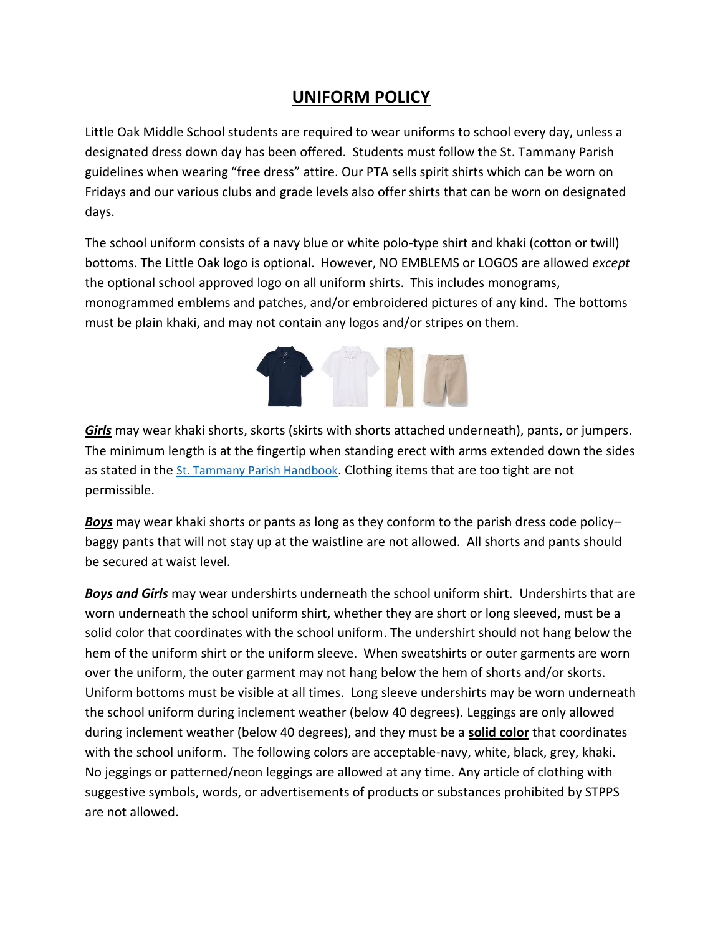## **UNIFORM POLICY**

Little Oak Middle School students are required to wear uniforms to school every day, unless a designated dress down day has been offered. Students must follow the St. Tammany Parish guidelines when wearing "free dress" attire. Our PTA sells spirit shirts which can be worn on Fridays and our various clubs and grade levels also offer shirts that can be worn on designated days.

The school uniform consists of a navy blue or white polo-type shirt and khaki (cotton or twill) bottoms. The Little Oak logo is optional. However, NO EMBLEMS or LOGOS are allowed *except* the optional school approved logo on all uniform shirts. This includes monograms, monogrammed emblems and patches, and/or embroidered pictures of any kind. The bottoms must be plain khaki, and may not contain any logos and/or stripes on them.



*Girls* may wear khaki shorts, skorts (skirts with shorts attached underneath), pants, or jumpers. The minimum length is at the fingertip when standing erect with arms extended down the sides as stated in the [St. Tammany Parish Handbook](http://www.stpsb.org/DisciplineHandbook/DistrictHandbook.pdf). Clothing items that are too tight are not permissible.

*Boys* may wear khaki shorts or pants as long as they conform to the parish dress code policy– baggy pants that will not stay up at the waistline are not allowed. All shorts and pants should be secured at waist level.

*Boys and Girls* may wear undershirts underneath the school uniform shirt. Undershirts that are worn underneath the school uniform shirt, whether they are short or long sleeved, must be a solid color that coordinates with the school uniform. The undershirt should not hang below the hem of the uniform shirt or the uniform sleeve. When sweatshirts or outer garments are worn over the uniform, the outer garment may not hang below the hem of shorts and/or skorts. Uniform bottoms must be visible at all times. Long sleeve undershirts may be worn underneath the school uniform during inclement weather (below 40 degrees). Leggings are only allowed during inclement weather (below 40 degrees), and they must be a **solid color** that coordinates with the school uniform. The following colors are acceptable-navy, white, black, grey, khaki. No jeggings or patterned/neon leggings are allowed at any time. Any article of clothing with suggestive symbols, words, or advertisements of products or substances prohibited by STPPS are not allowed.